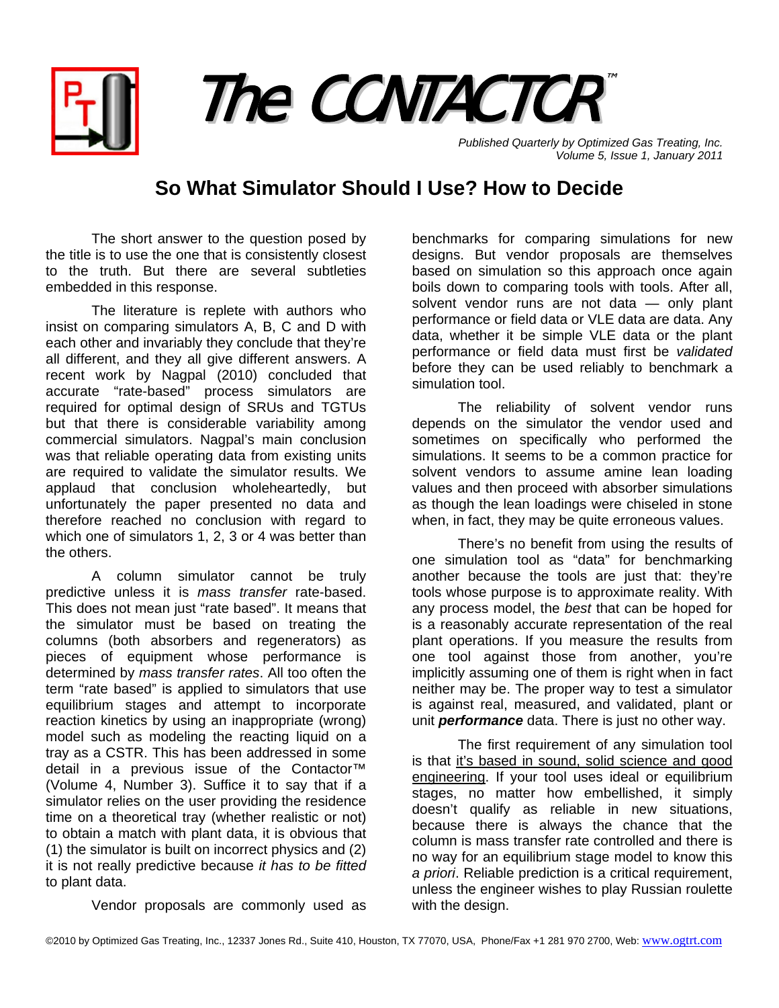## The CONTACTOR

*Published Quarterly by Optimized Gas Treating, Inc. Volume 5, Issue 1, January 2011*

## **So What Simulator Should I Use? How to Decide**

The short answer to the question posed by the title is to use the one that is consistently closest to the truth. But there are several subtleties embedded in this response.

The literature is replete with authors who insist on comparing simulators A, B, C and D with each other and invariably they conclude that they're all different, and they all give different answers. A recent work by Nagpal (2010) concluded that accurate "rate-based" process simulators are required for optimal design of SRUs and TGTUs but that there is considerable variability among commercial simulators. Nagpal's main conclusion was that reliable operating data from existing units are required to validate the simulator results. We applaud that conclusion wholeheartedly, but unfortunately the paper presented no data and therefore reached no conclusion with regard to which one of simulators 1, 2, 3 or 4 was better than the others.

A column simulator cannot be truly predictive unless it is *mass transfer* rate-based. This does not mean just "rate based". It means that the simulator must be based on treating the columns (both absorbers and regenerators) as pieces of equipment whose performance is determined by *mass transfer rates*. All too often the term "rate based" is applied to simulators that use equilibrium stages and attempt to incorporate reaction kinetics by using an inappropriate (wrong) model such as modeling the reacting liquid on a tray as a CSTR. This has been addressed in some detail in a previous issue of the Contactor™ (Volume 4, Number 3). Suffice it to say that if a simulator relies on the user providing the residence time on a theoretical tray (whether realistic or not) to obtain a match with plant data, it is obvious that (1) the simulator is built on incorrect physics and (2) it is not really predictive because *it has to be fitted* to plant data.

Vendor proposals are commonly used as

benchmarks for comparing simulations for new designs. But vendor proposals are themselves based on simulation so this approach once again boils down to comparing tools with tools. After all, solvent vendor runs are not data — only plant performance or field data or VLE data are data. Any data, whether it be simple VLE data or the plant performance or field data must first be *validated* before they can be used reliably to benchmark a simulation tool.

The reliability of solvent vendor runs depends on the simulator the vendor used and sometimes on specifically who performed the simulations. It seems to be a common practice for solvent vendors to assume amine lean loading values and then proceed with absorber simulations as though the lean loadings were chiseled in stone when, in fact, they may be quite erroneous values.

There's no benefit from using the results of one simulation tool as "data" for benchmarking another because the tools are just that: they're tools whose purpose is to approximate reality. With any process model, the *best* that can be hoped for is a reasonably accurate representation of the real plant operations. If you measure the results from one tool against those from another, you're implicitly assuming one of them is right when in fact neither may be. The proper way to test a simulator is against real, measured, and validated, plant or unit *performance* data. There is just no other way.

 The first requirement of any simulation tool is that it's based in sound, solid science and good engineering. If your tool uses ideal or equilibrium stages, no matter how embellished, it simply doesn't qualify as reliable in new situations, because there is always the chance that the column is mass transfer rate controlled and there is no way for an equilibrium stage model to know this *a priori*. Reliable prediction is a critical requirement, unless the engineer wishes to play Russian roulette with the design.